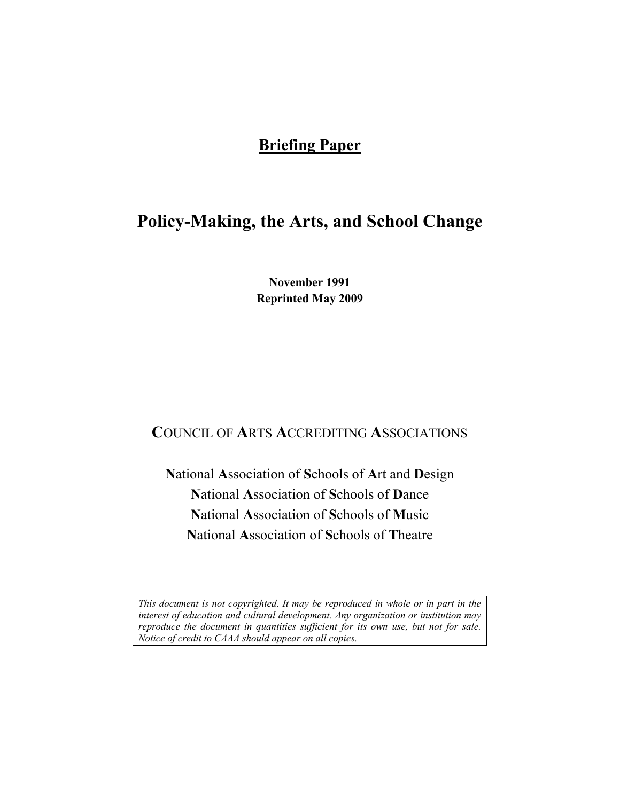### **Briefing Paper**

# **Policy-Making, the Arts, and School Change**

**November 1991 Reprinted May 2009** 

# **C**OUNCIL OF **A**RTS **A**CCREDITING **A**SSOCIATIONS

**N**ational **A**ssociation of **S**chools of **A**rt and **D**esign **N**ational **A**ssociation of **S**chools of **D**ance **N**ational **A**ssociation of **S**chools of **M**usic **N**ational **A**ssociation of **S**chools of **T**heatre

*This document is not copyrighted. It may be reproduced in whole or in part in the interest of education and cultural development. Any organization or institution may reproduce the document in quantities sufficient for its own use, but not for sale. Notice of credit to CAAA should appear on all copies.*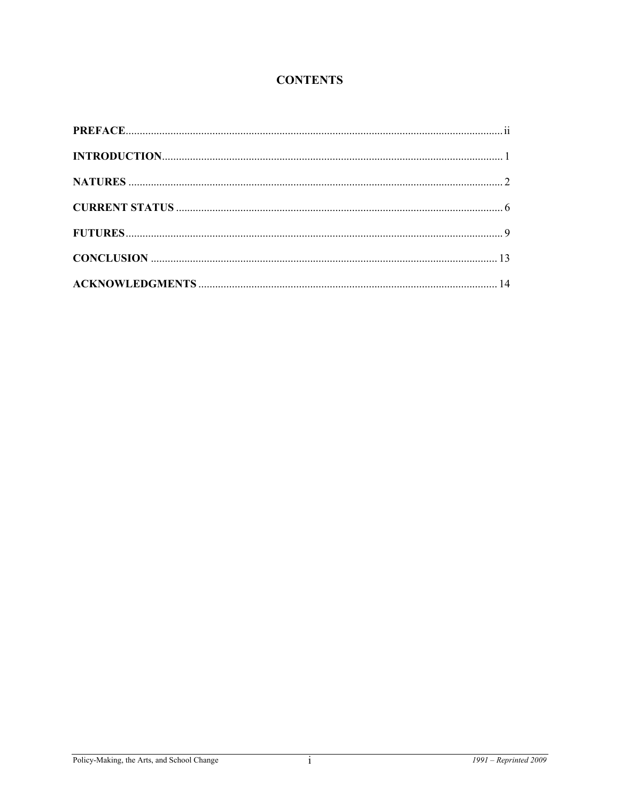### **CONTENTS**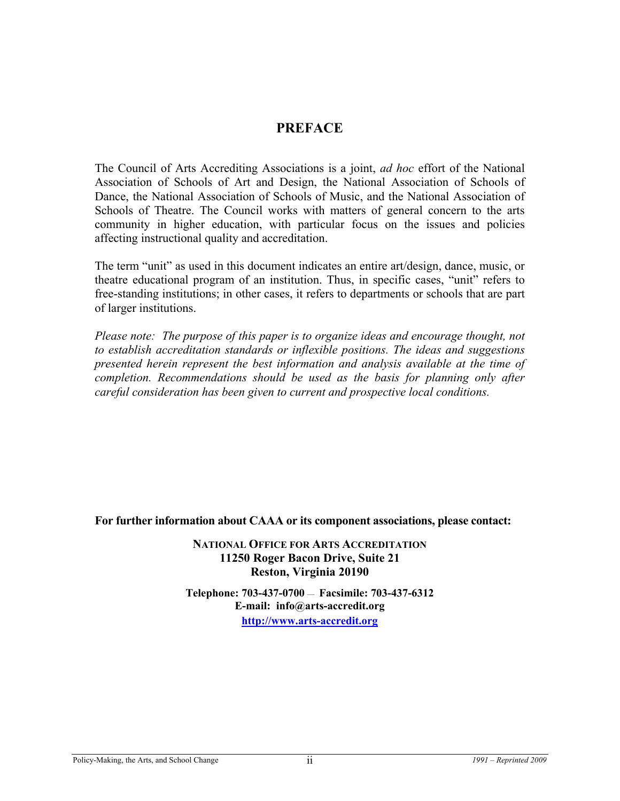### **PREFACE**

The Council of Arts Accrediting Associations is a joint, *ad hoc* effort of the National Association of Schools of Art and Design, the National Association of Schools of Dance, the National Association of Schools of Music, and the National Association of Schools of Theatre. The Council works with matters of general concern to the arts community in higher education, with particular focus on the issues and policies affecting instructional quality and accreditation.

The term "unit" as used in this document indicates an entire art/design, dance, music, or theatre educational program of an institution. Thus, in specific cases, "unit" refers to free-standing institutions; in other cases, it refers to departments or schools that are part of larger institutions.

*Please note: The purpose of this paper is to organize ideas and encourage thought, not to establish accreditation standards or inflexible positions. The ideas and suggestions presented herein represent the best information and analysis available at the time of completion. Recommendations should be used as the basis for planning only after careful consideration has been given to current and prospective local conditions.* 

**For further information about CAAA or its component associations, please contact:** 

**NATIONAL OFFICE FOR ARTS ACCREDITATION 11250 Roger Bacon Drive, Suite 21 Reston, Virginia 20190** 

**Telephone: 703-437-0700** — **Facsimile: 703-437-6312 E-mail: info@arts-accredit.org [http://www.arts-accredit.org](http://www.arts-accredit.org/)**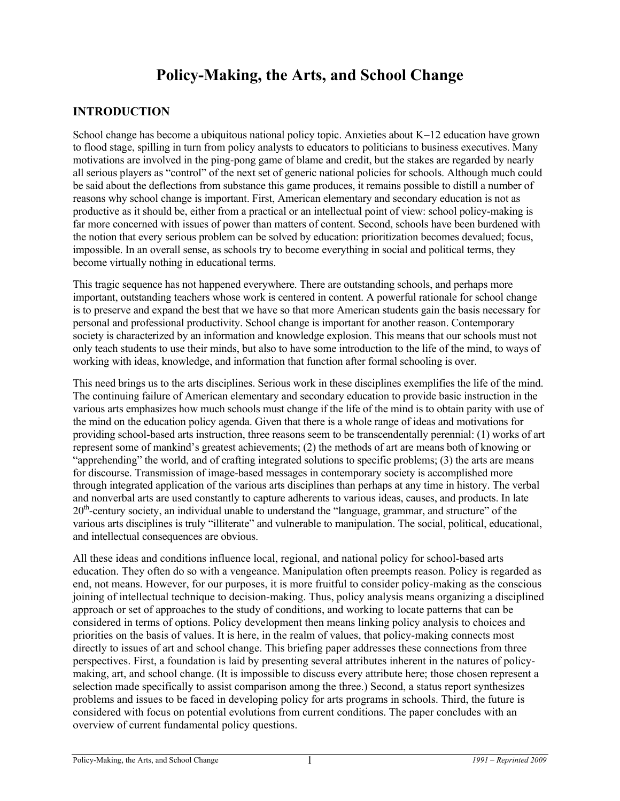## **Policy-Making, the Arts, and School Change**

#### **INTRODUCTION**

School change has become a ubiquitous national policy topic. Anxieties about K−12 education have grown to flood stage, spilling in turn from policy analysts to educators to politicians to business executives. Many motivations are involved in the ping-pong game of blame and credit, but the stakes are regarded by nearly all serious players as "control" of the next set of generic national policies for schools. Although much could be said about the deflections from substance this game produces, it remains possible to distill a number of reasons why school change is important. First, American elementary and secondary education is not as productive as it should be, either from a practical or an intellectual point of view: school policy-making is far more concerned with issues of power than matters of content. Second, schools have been burdened with the notion that every serious problem can be solved by education: prioritization becomes devalued; focus, impossible. In an overall sense, as schools try to become everything in social and political terms, they become virtually nothing in educational terms.

This tragic sequence has not happened everywhere. There are outstanding schools, and perhaps more important, outstanding teachers whose work is centered in content. A powerful rationale for school change is to preserve and expand the best that we have so that more American students gain the basis necessary for personal and professional productivity. School change is important for another reason. Contemporary society is characterized by an information and knowledge explosion. This means that our schools must not only teach students to use their minds, but also to have some introduction to the life of the mind, to ways of working with ideas, knowledge, and information that function after formal schooling is over.

This need brings us to the arts disciplines. Serious work in these disciplines exemplifies the life of the mind. The continuing failure of American elementary and secondary education to provide basic instruction in the various arts emphasizes how much schools must change if the life of the mind is to obtain parity with use of the mind on the education policy agenda. Given that there is a whole range of ideas and motivations for providing school-based arts instruction, three reasons seem to be transcendentally perennial: (1) works of art represent some of mankind's greatest achievements; (2) the methods of art are means both of knowing or "apprehending" the world, and of crafting integrated solutions to specific problems; (3) the arts are means for discourse. Transmission of image-based messages in contemporary society is accomplished more through integrated application of the various arts disciplines than perhaps at any time in history. The verbal and nonverbal arts are used constantly to capture adherents to various ideas, causes, and products. In late 20th-century society, an individual unable to understand the "language, grammar, and structure" of the various arts disciplines is truly "illiterate" and vulnerable to manipulation. The social, political, educational, and intellectual consequences are obvious.

All these ideas and conditions influence local, regional, and national policy for school-based arts education. They often do so with a vengeance. Manipulation often preempts reason. Policy is regarded as end, not means. However, for our purposes, it is more fruitful to consider policy-making as the conscious joining of intellectual technique to decision-making. Thus, policy analysis means organizing a disciplined approach or set of approaches to the study of conditions, and working to locate patterns that can be considered in terms of options. Policy development then means linking policy analysis to choices and priorities on the basis of values. It is here, in the realm of values, that policy-making connects most directly to issues of art and school change. This briefing paper addresses these connections from three perspectives. First, a foundation is laid by presenting several attributes inherent in the natures of policymaking, art, and school change. (It is impossible to discuss every attribute here; those chosen represent a selection made specifically to assist comparison among the three.) Second, a status report synthesizes problems and issues to be faced in developing policy for arts programs in schools. Third, the future is considered with focus on potential evolutions from current conditions. The paper concludes with an overview of current fundamental policy questions.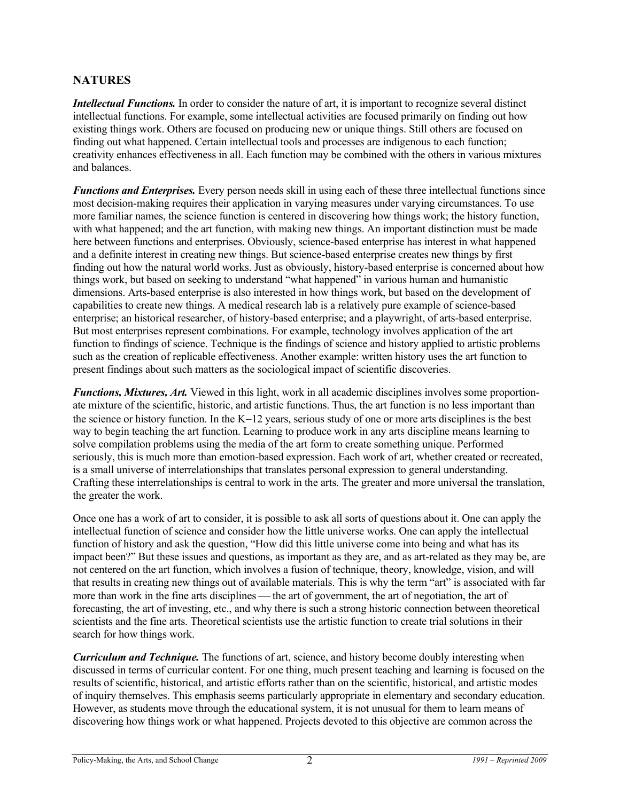#### **NATURES**

*Intellectual Functions.* In order to consider the nature of art, it is important to recognize several distinct intellectual functions. For example, some intellectual activities are focused primarily on finding out how existing things work. Others are focused on producing new or unique things. Still others are focused on finding out what happened. Certain intellectual tools and processes are indigenous to each function; creativity enhances effectiveness in all. Each function may be combined with the others in various mixtures and balances.

*Functions and Enterprises.* Every person needs skill in using each of these three intellectual functions since most decision-making requires their application in varying measures under varying circumstances. To use more familiar names, the science function is centered in discovering how things work; the history function, with what happened; and the art function, with making new things. An important distinction must be made here between functions and enterprises. Obviously, science-based enterprise has interest in what happened and a definite interest in creating new things. But science-based enterprise creates new things by first finding out how the natural world works. Just as obviously, history-based enterprise is concerned about how things work, but based on seeking to understand "what happened" in various human and humanistic dimensions. Arts-based enterprise is also interested in how things work, but based on the development of capabilities to create new things. A medical research lab is a relatively pure example of science-based enterprise; an historical researcher, of history-based enterprise; and a playwright, of arts-based enterprise. But most enterprises represent combinations. For example, technology involves application of the art function to findings of science. Technique is the findings of science and history applied to artistic problems such as the creation of replicable effectiveness. Another example: written history uses the art function to present findings about such matters as the sociological impact of scientific discoveries.

*Functions, Mixtures, Art.* Viewed in this light, work in all academic disciplines involves some proportionate mixture of the scientific, historic, and artistic functions. Thus, the art function is no less important than the science or history function. In the K−12 years, serious study of one or more arts disciplines is the best way to begin teaching the art function. Learning to produce work in any arts discipline means learning to solve compilation problems using the media of the art form to create something unique. Performed seriously, this is much more than emotion-based expression. Each work of art, whether created or recreated, is a small universe of interrelationships that translates personal expression to general understanding. Crafting these interrelationships is central to work in the arts. The greater and more universal the translation, the greater the work.

Once one has a work of art to consider, it is possible to ask all sorts of questions about it. One can apply the intellectual function of science and consider how the little universe works. One can apply the intellectual function of history and ask the question, "How did this little universe come into being and what has its impact been?" But these issues and questions, as important as they are, and as art-related as they may be, are not centered on the art function, which involves a fusion of technique, theory, knowledge, vision, and will that results in creating new things out of available materials. This is why the term "art" is associated with far more than work in the fine arts disciplines — the art of government, the art of negotiation, the art of forecasting, the art of investing, etc., and why there is such a strong historic connection between theoretical scientists and the fine arts. Theoretical scientists use the artistic function to create trial solutions in their search for how things work.

*Curriculum and Technique.* The functions of art, science, and history become doubly interesting when discussed in terms of curricular content. For one thing, much present teaching and learning is focused on the results of scientific, historical, and artistic efforts rather than on the scientific, historical, and artistic modes of inquiry themselves. This emphasis seems particularly appropriate in elementary and secondary education. However, as students move through the educational system, it is not unusual for them to learn means of discovering how things work or what happened. Projects devoted to this objective are common across the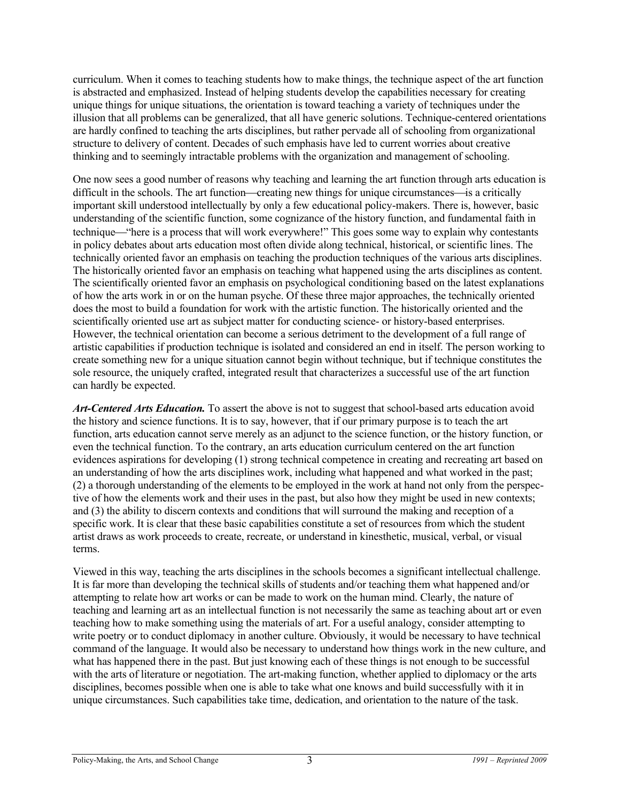curriculum. When it comes to teaching students how to make things, the technique aspect of the art function is abstracted and emphasized. Instead of helping students develop the capabilities necessary for creating unique things for unique situations, the orientation is toward teaching a variety of techniques under the illusion that all problems can be generalized, that all have generic solutions. Technique-centered orientations are hardly confined to teaching the arts disciplines, but rather pervade all of schooling from organizational structure to delivery of content. Decades of such emphasis have led to current worries about creative thinking and to seemingly intractable problems with the organization and management of schooling.

One now sees a good number of reasons why teaching and learning the art function through arts education is difficult in the schools. The art function—creating new things for unique circumstances—is a critically important skill understood intellectually by only a few educational policy-makers. There is, however, basic understanding of the scientific function, some cognizance of the history function, and fundamental faith in technique—"here is a process that will work everywhere!" This goes some way to explain why contestants in policy debates about arts education most often divide along technical, historical, or scientific lines. The technically oriented favor an emphasis on teaching the production techniques of the various arts disciplines. The historically oriented favor an emphasis on teaching what happened using the arts disciplines as content. The scientifically oriented favor an emphasis on psychological conditioning based on the latest explanations of how the arts work in or on the human psyche. Of these three major approaches, the technically oriented does the most to build a foundation for work with the artistic function. The historically oriented and the scientifically oriented use art as subject matter for conducting science- or history-based enterprises. However, the technical orientation can become a serious detriment to the development of a full range of artistic capabilities if production technique is isolated and considered an end in itself. The person working to create something new for a unique situation cannot begin without technique, but if technique constitutes the sole resource, the uniquely crafted, integrated result that characterizes a successful use of the art function can hardly be expected.

*Art-Centered Arts Education.* To assert the above is not to suggest that school-based arts education avoid the history and science functions. It is to say, however, that if our primary purpose is to teach the art function, arts education cannot serve merely as an adjunct to the science function, or the history function, or even the technical function. To the contrary, an arts education curriculum centered on the art function evidences aspirations for developing (1) strong technical competence in creating and recreating art based on an understanding of how the arts disciplines work, including what happened and what worked in the past; (2) a thorough understanding of the elements to be employed in the work at hand not only from the perspective of how the elements work and their uses in the past, but also how they might be used in new contexts; and (3) the ability to discern contexts and conditions that will surround the making and reception of a specific work. It is clear that these basic capabilities constitute a set of resources from which the student artist draws as work proceeds to create, recreate, or understand in kinesthetic, musical, verbal, or visual terms.

Viewed in this way, teaching the arts disciplines in the schools becomes a significant intellectual challenge. It is far more than developing the technical skills of students and/or teaching them what happened and/or attempting to relate how art works or can be made to work on the human mind. Clearly, the nature of teaching and learning art as an intellectual function is not necessarily the same as teaching about art or even teaching how to make something using the materials of art. For a useful analogy, consider attempting to write poetry or to conduct diplomacy in another culture. Obviously, it would be necessary to have technical command of the language. It would also be necessary to understand how things work in the new culture, and what has happened there in the past. But just knowing each of these things is not enough to be successful with the arts of literature or negotiation. The art-making function, whether applied to diplomacy or the arts disciplines, becomes possible when one is able to take what one knows and build successfully with it in unique circumstances. Such capabilities take time, dedication, and orientation to the nature of the task.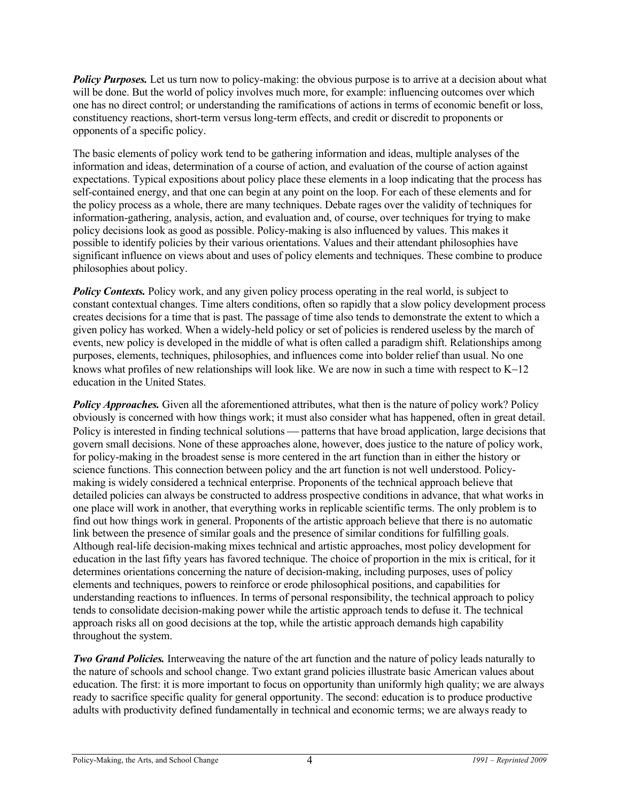*Policy Purposes.* Let us turn now to policy-making: the obvious purpose is to arrive at a decision about what will be done. But the world of policy involves much more, for example: influencing outcomes over which one has no direct control; or understanding the ramifications of actions in terms of economic benefit or loss, constituency reactions, short-term versus long-term effects, and credit or discredit to proponents or opponents of a specific policy.

The basic elements of policy work tend to be gathering information and ideas, multiple analyses of the information and ideas, determination of a course of action, and evaluation of the course of action against expectations. Typical expositions about policy place these elements in a loop indicating that the process has self-contained energy, and that one can begin at any point on the loop. For each of these elements and for the policy process as a whole, there are many techniques. Debate rages over the validity of techniques for information-gathering, analysis, action, and evaluation and, of course, over techniques for trying to make policy decisions look as good as possible. Policy-making is also influenced by values. This makes it possible to identify policies by their various orientations. Values and their attendant philosophies have significant influence on views about and uses of policy elements and techniques. These combine to produce philosophies about policy.

*Policy Contexts.* Policy work, and any given policy process operating in the real world, is subject to constant contextual changes. Time alters conditions, often so rapidly that a slow policy development process creates decisions for a time that is past. The passage of time also tends to demonstrate the extent to which a given policy has worked. When a widely-held policy or set of policies is rendered useless by the march of events, new policy is developed in the middle of what is often called a paradigm shift. Relationships among purposes, elements, techniques, philosophies, and influences come into bolder relief than usual. No one knows what profiles of new relationships will look like. We are now in such a time with respect to K−12 education in the United States.

**Policy Approaches.** Given all the aforementioned attributes, what then is the nature of policy work? Policy obviously is concerned with how things work; it must also consider what has happened, often in great detail. Policy is interested in finding technical solutions — patterns that have broad application, large decisions that govern small decisions. None of these approaches alone, however, does justice to the nature of policy work, for policy-making in the broadest sense is more centered in the art function than in either the history or science functions. This connection between policy and the art function is not well understood. Policymaking is widely considered a technical enterprise. Proponents of the technical approach believe that detailed policies can always be constructed to address prospective conditions in advance, that what works in one place will work in another, that everything works in replicable scientific terms. The only problem is to find out how things work in general. Proponents of the artistic approach believe that there is no automatic link between the presence of similar goals and the presence of similar conditions for fulfilling goals. Although real-life decision-making mixes technical and artistic approaches, most policy development for education in the last fifty years has favored technique. The choice of proportion in the mix is critical, for it determines orientations concerning the nature of decision-making, including purposes, uses of policy elements and techniques, powers to reinforce or erode philosophical positions, and capabilities for understanding reactions to influences. In terms of personal responsibility, the technical approach to policy tends to consolidate decision-making power while the artistic approach tends to defuse it. The technical approach risks all on good decisions at the top, while the artistic approach demands high capability throughout the system.

*Two Grand Policies.* Interweaving the nature of the art function and the nature of policy leads naturally to the nature of schools and school change. Two extant grand policies illustrate basic American values about education. The first: it is more important to focus on opportunity than uniformly high quality; we are always ready to sacrifice specific quality for general opportunity. The second: education is to produce productive adults with productivity defined fundamentally in technical and economic terms; we are always ready to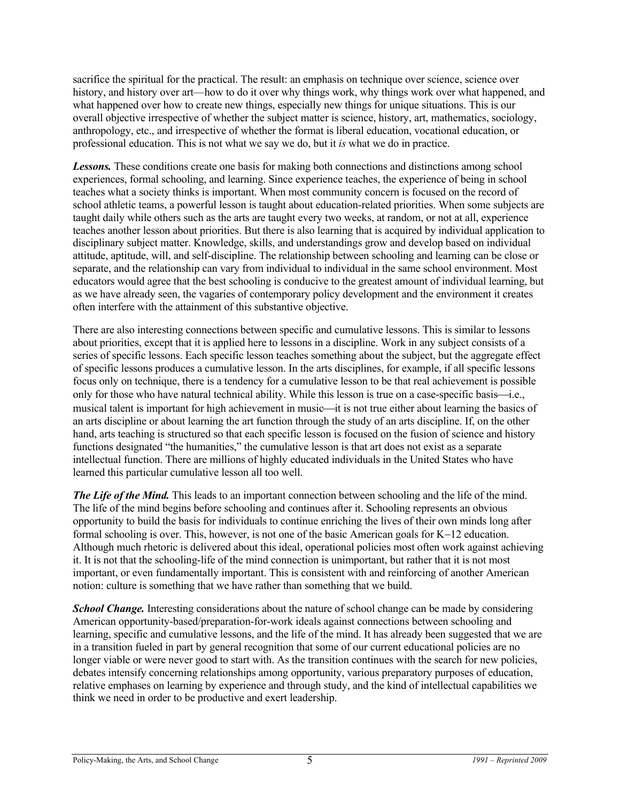sacrifice the spiritual for the practical. The result: an emphasis on technique over science, science over history, and history over art—how to do it over why things work, why things work over what happened, and what happened over how to create new things, especially new things for unique situations. This is our overall objective irrespective of whether the subject matter is science, history, art, mathematics, sociology, anthropology, etc., and irrespective of whether the format is liberal education, vocational education, or professional education. This is not what we say we do, but it *is* what we do in practice.

*Lessons.* These conditions create one basis for making both connections and distinctions among school experiences, formal schooling, and learning. Since experience teaches, the experience of being in school teaches what a society thinks is important. When most community concern is focused on the record of school athletic teams, a powerful lesson is taught about education-related priorities. When some subjects are taught daily while others such as the arts are taught every two weeks, at random, or not at all, experience teaches another lesson about priorities. But there is also learning that is acquired by individual application to disciplinary subject matter. Knowledge, skills, and understandings grow and develop based on individual attitude, aptitude, will, and self-discipline. The relationship between schooling and learning can be close or separate, and the relationship can vary from individual to individual in the same school environment. Most educators would agree that the best schooling is conducive to the greatest amount of individual learning, but as we have already seen, the vagaries of contemporary policy development and the environment it creates often interfere with the attainment of this substantive objective.

There are also interesting connections between specific and cumulative lessons. This is similar to lessons about priorities, except that it is applied here to lessons in a discipline. Work in any subject consists of a series of specific lessons. Each specific lesson teaches something about the subject, but the aggregate effect of specific lessons produces a cumulative lesson. In the arts disciplines, for example, if all specific lessons focus only on technique, there is a tendency for a cumulative lesson to be that real achievement is possible only for those who have natural technical ability. While this lesson is true on a case-specific basis—i.e., musical talent is important for high achievement in music—it is not true either about learning the basics of an arts discipline or about learning the art function through the study of an arts discipline. If, on the other hand, arts teaching is structured so that each specific lesson is focused on the fusion of science and history functions designated "the humanities," the cumulative lesson is that art does not exist as a separate intellectual function. There are millions of highly educated individuals in the United States who have learned this particular cumulative lesson all too well.

*The Life of the Mind.* This leads to an important connection between schooling and the life of the mind. The life of the mind begins before schooling and continues after it. Schooling represents an obvious opportunity to build the basis for individuals to continue enriching the lives of their own minds long after formal schooling is over. This, however, is not one of the basic American goals for K−12 education. Although much rhetoric is delivered about this ideal, operational policies most often work against achieving it. It is not that the schooling-life of the mind connection is unimportant, but rather that it is not most important, or even fundamentally important. This is consistent with and reinforcing of another American notion: culture is something that we have rather than something that we build.

*School Change.* Interesting considerations about the nature of school change can be made by considering American opportunity-based/preparation-for-work ideals against connections between schooling and learning, specific and cumulative lessons, and the life of the mind. It has already been suggested that we are in a transition fueled in part by general recognition that some of our current educational policies are no longer viable or were never good to start with. As the transition continues with the search for new policies, debates intensify concerning relationships among opportunity, various preparatory purposes of education, relative emphases on learning by experience and through study, and the kind of intellectual capabilities we think we need in order to be productive and exert leadership.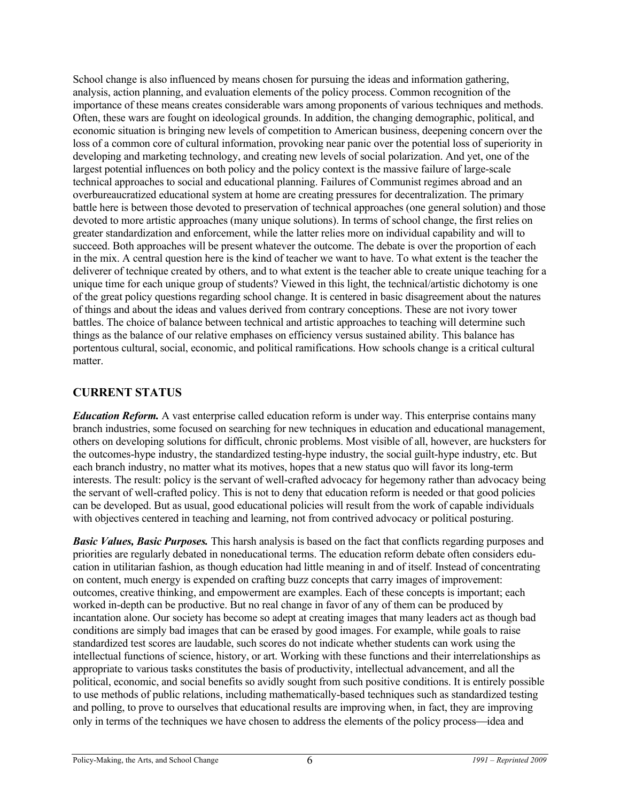School change is also influenced by means chosen for pursuing the ideas and information gathering, analysis, action planning, and evaluation elements of the policy process. Common recognition of the importance of these means creates considerable wars among proponents of various techniques and methods. Often, these wars are fought on ideological grounds. In addition, the changing demographic, political, and economic situation is bringing new levels of competition to American business, deepening concern over the loss of a common core of cultural information, provoking near panic over the potential loss of superiority in developing and marketing technology, and creating new levels of social polarization. And yet, one of the largest potential influences on both policy and the policy context is the massive failure of large-scale technical approaches to social and educational planning. Failures of Communist regimes abroad and an overbureaucratized educational system at home are creating pressures for decentralization. The primary battle here is between those devoted to preservation of technical approaches (one general solution) and those devoted to more artistic approaches (many unique solutions). In terms of school change, the first relies on greater standardization and enforcement, while the latter relies more on individual capability and will to succeed. Both approaches will be present whatever the outcome. The debate is over the proportion of each in the mix. A central question here is the kind of teacher we want to have. To what extent is the teacher the deliverer of technique created by others, and to what extent is the teacher able to create unique teaching for a unique time for each unique group of students? Viewed in this light, the technical/artistic dichotomy is one of the great policy questions regarding school change. It is centered in basic disagreement about the natures of things and about the ideas and values derived from contrary conceptions. These are not ivory tower battles. The choice of balance between technical and artistic approaches to teaching will determine such things as the balance of our relative emphases on efficiency versus sustained ability. This balance has portentous cultural, social, economic, and political ramifications. How schools change is a critical cultural matter.

#### **CURRENT STATUS**

*Education Reform.* A vast enterprise called education reform is under way. This enterprise contains many branch industries, some focused on searching for new techniques in education and educational management, others on developing solutions for difficult, chronic problems. Most visible of all, however, are hucksters for the outcomes-hype industry, the standardized testing-hype industry, the social guilt-hype industry, etc. But each branch industry, no matter what its motives, hopes that a new status quo will favor its long-term interests. The result: policy is the servant of well-crafted advocacy for hegemony rather than advocacy being the servant of well-crafted policy. This is not to deny that education reform is needed or that good policies can be developed. But as usual, good educational policies will result from the work of capable individuals with objectives centered in teaching and learning, not from contrived advocacy or political posturing.

*Basic Values, Basic Purposes.* This harsh analysis is based on the fact that conflicts regarding purposes and priorities are regularly debated in noneducational terms. The education reform debate often considers education in utilitarian fashion, as though education had little meaning in and of itself. Instead of concentrating on content, much energy is expended on crafting buzz concepts that carry images of improvement: outcomes, creative thinking, and empowerment are examples. Each of these concepts is important; each worked in-depth can be productive. But no real change in favor of any of them can be produced by incantation alone. Our society has become so adept at creating images that many leaders act as though bad conditions are simply bad images that can be erased by good images. For example, while goals to raise standardized test scores are laudable, such scores do not indicate whether students can work using the intellectual functions of science, history, or art. Working with these functions and their interrelationships as appropriate to various tasks constitutes the basis of productivity, intellectual advancement, and all the political, economic, and social benefits so avidly sought from such positive conditions. It is entirely possible to use methods of public relations, including mathematically-based techniques such as standardized testing and polling, to prove to ourselves that educational results are improving when, in fact, they are improving only in terms of the techniques we have chosen to address the elements of the policy process—idea and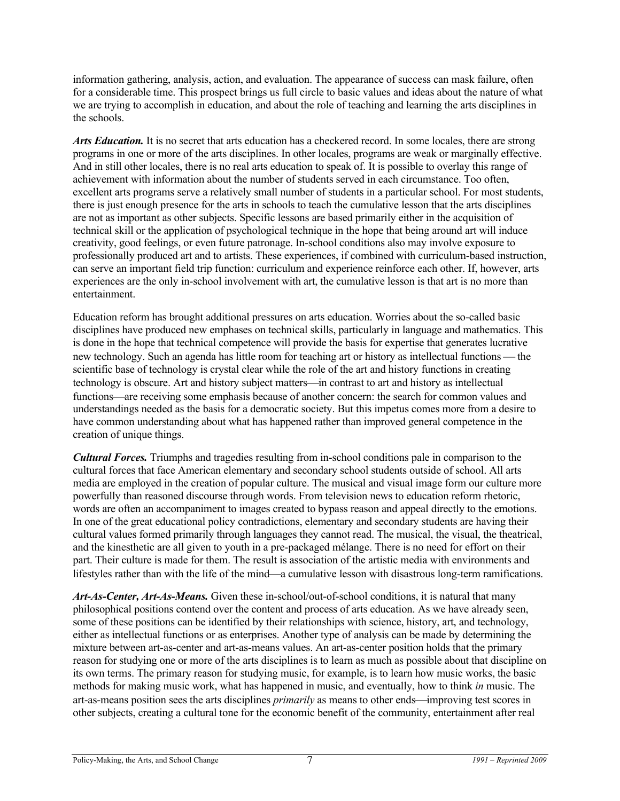information gathering, analysis, action, and evaluation. The appearance of success can mask failure, often for a considerable time. This prospect brings us full circle to basic values and ideas about the nature of what we are trying to accomplish in education, and about the role of teaching and learning the arts disciplines in the schools.

*Arts Education.* It is no secret that arts education has a checkered record. In some locales, there are strong programs in one or more of the arts disciplines. In other locales, programs are weak or marginally effective. And in still other locales, there is no real arts education to speak of. It is possible to overlay this range of achievement with information about the number of students served in each circumstance. Too often, excellent arts programs serve a relatively small number of students in a particular school. For most students, there is just enough presence for the arts in schools to teach the cumulative lesson that the arts disciplines are not as important as other subjects. Specific lessons are based primarily either in the acquisition of technical skill or the application of psychological technique in the hope that being around art will induce creativity, good feelings, or even future patronage. In-school conditions also may involve exposure to professionally produced art and to artists. These experiences, if combined with curriculum-based instruction, can serve an important field trip function: curriculum and experience reinforce each other. If, however, arts experiences are the only in-school involvement with art, the cumulative lesson is that art is no more than entertainment.

Education reform has brought additional pressures on arts education. Worries about the so-called basic disciplines have produced new emphases on technical skills, particularly in language and mathematics. This is done in the hope that technical competence will provide the basis for expertise that generates lucrative new technology. Such an agenda has little room for teaching art or history as intellectual functions — the scientific base of technology is crystal clear while the role of the art and history functions in creating technology is obscure. Art and history subject matters—in contrast to art and history as intellectual functions—are receiving some emphasis because of another concern: the search for common values and understandings needed as the basis for a democratic society. But this impetus comes more from a desire to have common understanding about what has happened rather than improved general competence in the creation of unique things.

*Cultural Forces.* Triumphs and tragedies resulting from in-school conditions pale in comparison to the cultural forces that face American elementary and secondary school students outside of school. All arts media are employed in the creation of popular culture. The musical and visual image form our culture more powerfully than reasoned discourse through words. From television news to education reform rhetoric, words are often an accompaniment to images created to bypass reason and appeal directly to the emotions. In one of the great educational policy contradictions, elementary and secondary students are having their cultural values formed primarily through languages they cannot read. The musical, the visual, the theatrical, and the kinesthetic are all given to youth in a pre-packaged mélange. There is no need for effort on their part. Their culture is made for them. The result is association of the artistic media with environments and lifestyles rather than with the life of the mind—a cumulative lesson with disastrous long-term ramifications.

*Art-As-Center, Art-As-Means.* Given these in-school/out-of-school conditions, it is natural that many philosophical positions contend over the content and process of arts education. As we have already seen, some of these positions can be identified by their relationships with science, history, art, and technology, either as intellectual functions or as enterprises. Another type of analysis can be made by determining the mixture between art-as-center and art-as-means values. An art-as-center position holds that the primary reason for studying one or more of the arts disciplines is to learn as much as possible about that discipline on its own terms. The primary reason for studying music, for example, is to learn how music works, the basic methods for making music work, what has happened in music, and eventually, how to think *in* music. The art-as-means position sees the arts disciplines *primarily* as means to other ends—improving test scores in other subjects, creating a cultural tone for the economic benefit of the community, entertainment after real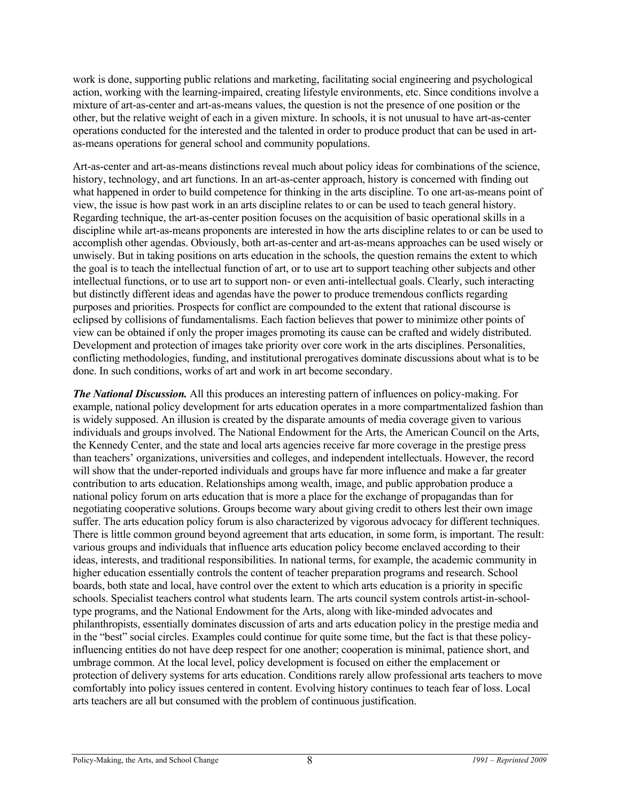work is done, supporting public relations and marketing, facilitating social engineering and psychological action, working with the learning-impaired, creating lifestyle environments, etc. Since conditions involve a mixture of art-as-center and art-as-means values, the question is not the presence of one position or the other, but the relative weight of each in a given mixture. In schools, it is not unusual to have art-as-center operations conducted for the interested and the talented in order to produce product that can be used in artas-means operations for general school and community populations.

Art-as-center and art-as-means distinctions reveal much about policy ideas for combinations of the science, history, technology, and art functions. In an art-as-center approach, history is concerned with finding out what happened in order to build competence for thinking in the arts discipline. To one art-as-means point of view, the issue is how past work in an arts discipline relates to or can be used to teach general history. Regarding technique, the art-as-center position focuses on the acquisition of basic operational skills in a discipline while art-as-means proponents are interested in how the arts discipline relates to or can be used to accomplish other agendas. Obviously, both art-as-center and art-as-means approaches can be used wisely or unwisely. But in taking positions on arts education in the schools, the question remains the extent to which the goal is to teach the intellectual function of art, or to use art to support teaching other subjects and other intellectual functions, or to use art to support non- or even anti-intellectual goals. Clearly, such interacting but distinctly different ideas and agendas have the power to produce tremendous conflicts regarding purposes and priorities. Prospects for conflict are compounded to the extent that rational discourse is eclipsed by collisions of fundamentalisms. Each faction believes that power to minimize other points of view can be obtained if only the proper images promoting its cause can be crafted and widely distributed. Development and protection of images take priority over core work in the arts disciplines. Personalities, conflicting methodologies, funding, and institutional prerogatives dominate discussions about what is to be done. In such conditions, works of art and work in art become secondary.

*The National Discussion.* All this produces an interesting pattern of influences on policy-making. For example, national policy development for arts education operates in a more compartmentalized fashion than is widely supposed. An illusion is created by the disparate amounts of media coverage given to various individuals and groups involved. The National Endowment for the Arts, the American Council on the Arts, the Kennedy Center, and the state and local arts agencies receive far more coverage in the prestige press than teachers' organizations, universities and colleges, and independent intellectuals. However, the record will show that the under-reported individuals and groups have far more influence and make a far greater contribution to arts education. Relationships among wealth, image, and public approbation produce a national policy forum on arts education that is more a place for the exchange of propagandas than for negotiating cooperative solutions. Groups become wary about giving credit to others lest their own image suffer. The arts education policy forum is also characterized by vigorous advocacy for different techniques. There is little common ground beyond agreement that arts education, in some form, is important. The result: various groups and individuals that influence arts education policy become enclaved according to their ideas, interests, and traditional responsibilities. In national terms, for example, the academic community in higher education essentially controls the content of teacher preparation programs and research. School boards, both state and local, have control over the extent to which arts education is a priority in specific schools. Specialist teachers control what students learn. The arts council system controls artist-in-schooltype programs, and the National Endowment for the Arts, along with like-minded advocates and philanthropists, essentially dominates discussion of arts and arts education policy in the prestige media and in the "best" social circles. Examples could continue for quite some time, but the fact is that these policyinfluencing entities do not have deep respect for one another; cooperation is minimal, patience short, and umbrage common. At the local level, policy development is focused on either the emplacement or protection of delivery systems for arts education. Conditions rarely allow professional arts teachers to move comfortably into policy issues centered in content. Evolving history continues to teach fear of loss. Local arts teachers are all but consumed with the problem of continuous justification.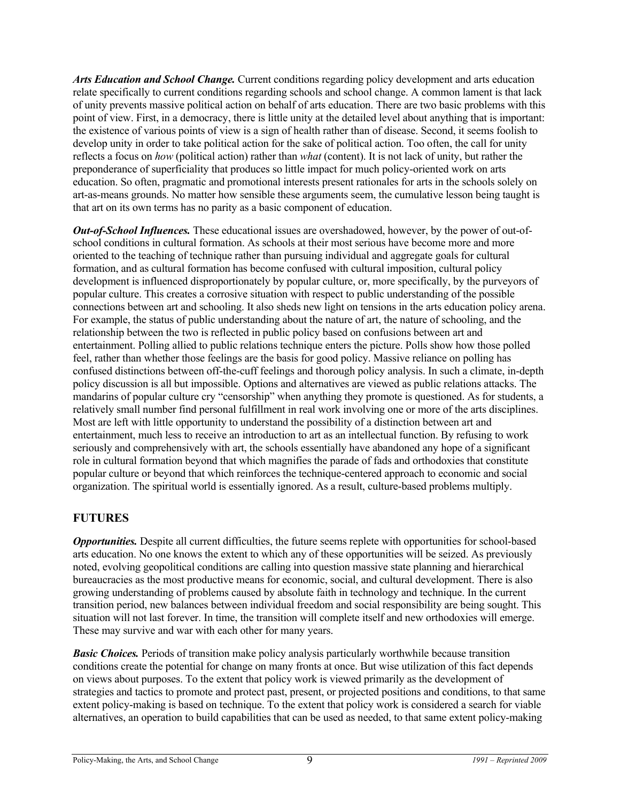*Arts Education and School Change.* Current conditions regarding policy development and arts education relate specifically to current conditions regarding schools and school change. A common lament is that lack of unity prevents massive political action on behalf of arts education. There are two basic problems with this point of view. First, in a democracy, there is little unity at the detailed level about anything that is important: the existence of various points of view is a sign of health rather than of disease. Second, it seems foolish to develop unity in order to take political action for the sake of political action. Too often, the call for unity reflects a focus on *how* (political action) rather than *what* (content). It is not lack of unity, but rather the preponderance of superficiality that produces so little impact for much policy-oriented work on arts education. So often, pragmatic and promotional interests present rationales for arts in the schools solely on art-as-means grounds. No matter how sensible these arguments seem, the cumulative lesson being taught is that art on its own terms has no parity as a basic component of education.

*Out-of-School Influences.* These educational issues are overshadowed, however, by the power of out-ofschool conditions in cultural formation. As schools at their most serious have become more and more oriented to the teaching of technique rather than pursuing individual and aggregate goals for cultural formation, and as cultural formation has become confused with cultural imposition, cultural policy development is influenced disproportionately by popular culture, or, more specifically, by the purveyors of popular culture. This creates a corrosive situation with respect to public understanding of the possible connections between art and schooling. It also sheds new light on tensions in the arts education policy arena. For example, the status of public understanding about the nature of art, the nature of schooling, and the relationship between the two is reflected in public policy based on confusions between art and entertainment. Polling allied to public relations technique enters the picture. Polls show how those polled feel, rather than whether those feelings are the basis for good policy. Massive reliance on polling has confused distinctions between off-the-cuff feelings and thorough policy analysis. In such a climate, in-depth policy discussion is all but impossible. Options and alternatives are viewed as public relations attacks. The mandarins of popular culture cry "censorship" when anything they promote is questioned. As for students, a relatively small number find personal fulfillment in real work involving one or more of the arts disciplines. Most are left with little opportunity to understand the possibility of a distinction between art and entertainment, much less to receive an introduction to art as an intellectual function. By refusing to work seriously and comprehensively with art, the schools essentially have abandoned any hope of a significant role in cultural formation beyond that which magnifies the parade of fads and orthodoxies that constitute popular culture or beyond that which reinforces the technique-centered approach to economic and social organization. The spiritual world is essentially ignored. As a result, culture-based problems multiply.

#### **FUTURES**

*Opportunities.* Despite all current difficulties, the future seems replete with opportunities for school-based arts education. No one knows the extent to which any of these opportunities will be seized. As previously noted, evolving geopolitical conditions are calling into question massive state planning and hierarchical bureaucracies as the most productive means for economic, social, and cultural development. There is also growing understanding of problems caused by absolute faith in technology and technique. In the current transition period, new balances between individual freedom and social responsibility are being sought. This situation will not last forever. In time, the transition will complete itself and new orthodoxies will emerge. These may survive and war with each other for many years.

*Basic Choices.* Periods of transition make policy analysis particularly worthwhile because transition conditions create the potential for change on many fronts at once. But wise utilization of this fact depends on views about purposes. To the extent that policy work is viewed primarily as the development of strategies and tactics to promote and protect past, present, or projected positions and conditions, to that same extent policy-making is based on technique. To the extent that policy work is considered a search for viable alternatives, an operation to build capabilities that can be used as needed, to that same extent policy-making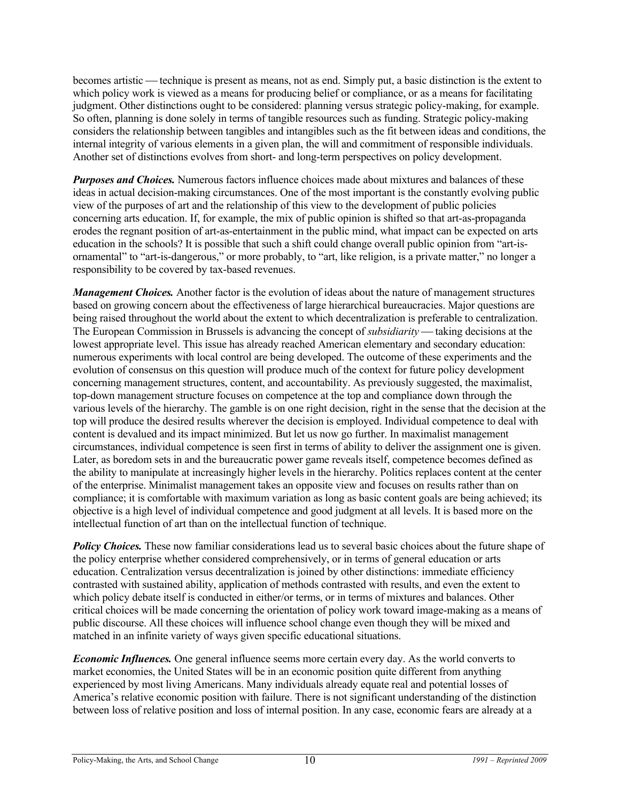becomes artistic — technique is present as means, not as end. Simply put, a basic distinction is the extent to which policy work is viewed as a means for producing belief or compliance, or as a means for facilitating judgment. Other distinctions ought to be considered: planning versus strategic policy-making, for example. So often, planning is done solely in terms of tangible resources such as funding. Strategic policy-making considers the relationship between tangibles and intangibles such as the fit between ideas and conditions, the internal integrity of various elements in a given plan, the will and commitment of responsible individuals. Another set of distinctions evolves from short- and long-term perspectives on policy development.

*Purposes and Choices.* Numerous factors influence choices made about mixtures and balances of these ideas in actual decision-making circumstances. One of the most important is the constantly evolving public view of the purposes of art and the relationship of this view to the development of public policies concerning arts education. If, for example, the mix of public opinion is shifted so that art-as-propaganda erodes the regnant position of art-as-entertainment in the public mind, what impact can be expected on arts education in the schools? It is possible that such a shift could change overall public opinion from "art-isornamental" to "art-is-dangerous," or more probably, to "art, like religion, is a private matter," no longer a responsibility to be covered by tax-based revenues.

*Management Choices.* Another factor is the evolution of ideas about the nature of management structures based on growing concern about the effectiveness of large hierarchical bureaucracies. Major questions are being raised throughout the world about the extent to which decentralization is preferable to centralization. The European Commission in Brussels is advancing the concept of *subsidiarity* — taking decisions at the lowest appropriate level. This issue has already reached American elementary and secondary education: numerous experiments with local control are being developed. The outcome of these experiments and the evolution of consensus on this question will produce much of the context for future policy development concerning management structures, content, and accountability. As previously suggested, the maximalist, top-down management structure focuses on competence at the top and compliance down through the various levels of the hierarchy. The gamble is on one right decision, right in the sense that the decision at the top will produce the desired results wherever the decision is employed. Individual competence to deal with content is devalued and its impact minimized. But let us now go further. In maximalist management circumstances, individual competence is seen first in terms of ability to deliver the assignment one is given. Later, as boredom sets in and the bureaucratic power game reveals itself, competence becomes defined as the ability to manipulate at increasingly higher levels in the hierarchy. Politics replaces content at the center of the enterprise. Minimalist management takes an opposite view and focuses on results rather than on compliance; it is comfortable with maximum variation as long as basic content goals are being achieved; its objective is a high level of individual competence and good judgment at all levels. It is based more on the intellectual function of art than on the intellectual function of technique.

*Policy Choices.* These now familiar considerations lead us to several basic choices about the future shape of the policy enterprise whether considered comprehensively, or in terms of general education or arts education. Centralization versus decentralization is joined by other distinctions: immediate efficiency contrasted with sustained ability, application of methods contrasted with results, and even the extent to which policy debate itself is conducted in either/or terms, or in terms of mixtures and balances. Other critical choices will be made concerning the orientation of policy work toward image-making as a means of public discourse. All these choices will influence school change even though they will be mixed and matched in an infinite variety of ways given specific educational situations.

*Economic Influences.* One general influence seems more certain every day. As the world converts to market economies, the United States will be in an economic position quite different from anything experienced by most living Americans. Many individuals already equate real and potential losses of America's relative economic position with failure. There is not significant understanding of the distinction between loss of relative position and loss of internal position. In any case, economic fears are already at a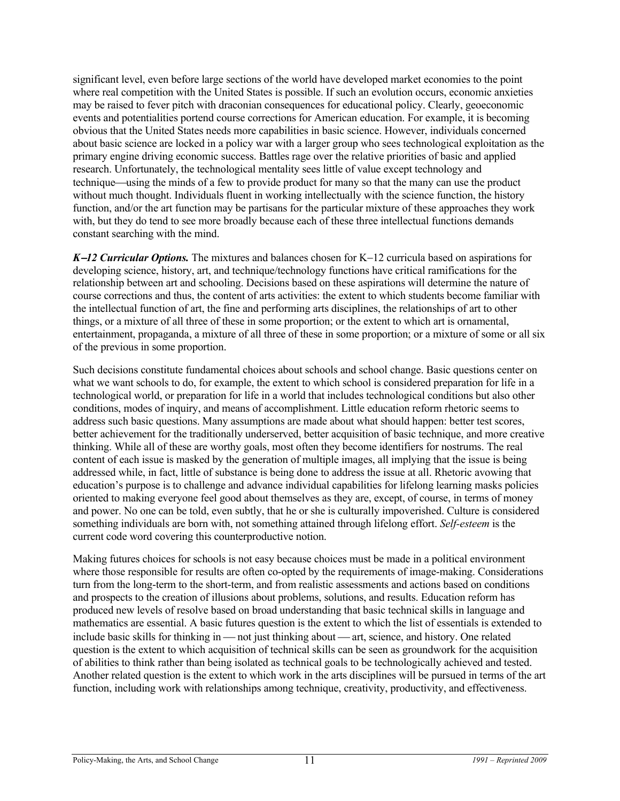significant level, even before large sections of the world have developed market economies to the point where real competition with the United States is possible. If such an evolution occurs, economic anxieties may be raised to fever pitch with draconian consequences for educational policy. Clearly, geoeconomic events and potentialities portend course corrections for American education. For example, it is becoming obvious that the United States needs more capabilities in basic science. However, individuals concerned about basic science are locked in a policy war with a larger group who sees technological exploitation as the primary engine driving economic success. Battles rage over the relative priorities of basic and applied research. Unfortunately, the technological mentality sees little of value except technology and technique—using the minds of a few to provide product for many so that the many can use the product without much thought. Individuals fluent in working intellectually with the science function, the history function, and/or the art function may be partisans for the particular mixture of these approaches they work with, but they do tend to see more broadly because each of these three intellectual functions demands constant searching with the mind.

*K−12 Curricular Options.* The mixtures and balances chosen for K−12 curricula based on aspirations for developing science, history, art, and technique/technology functions have critical ramifications for the relationship between art and schooling. Decisions based on these aspirations will determine the nature of course corrections and thus, the content of arts activities: the extent to which students become familiar with the intellectual function of art, the fine and performing arts disciplines, the relationships of art to other things, or a mixture of all three of these in some proportion; or the extent to which art is ornamental, entertainment, propaganda, a mixture of all three of these in some proportion; or a mixture of some or all six of the previous in some proportion.

Such decisions constitute fundamental choices about schools and school change. Basic questions center on what we want schools to do, for example, the extent to which school is considered preparation for life in a technological world, or preparation for life in a world that includes technological conditions but also other conditions, modes of inquiry, and means of accomplishment. Little education reform rhetoric seems to address such basic questions. Many assumptions are made about what should happen: better test scores, better achievement for the traditionally underserved, better acquisition of basic technique, and more creative thinking. While all of these are worthy goals, most often they become identifiers for nostrums. The real content of each issue is masked by the generation of multiple images, all implying that the issue is being addressed while, in fact, little of substance is being done to address the issue at all. Rhetoric avowing that education's purpose is to challenge and advance individual capabilities for lifelong learning masks policies oriented to making everyone feel good about themselves as they are, except, of course, in terms of money and power. No one can be told, even subtly, that he or she is culturally impoverished. Culture is considered something individuals are born with, not something attained through lifelong effort. *Self-esteem* is the current code word covering this counterproductive notion.

Making futures choices for schools is not easy because choices must be made in a political environment where those responsible for results are often co-opted by the requirements of image-making. Considerations turn from the long-term to the short-term, and from realistic assessments and actions based on conditions and prospects to the creation of illusions about problems, solutions, and results. Education reform has produced new levels of resolve based on broad understanding that basic technical skills in language and mathematics are essential. A basic futures question is the extent to which the list of essentials is extended to include basic skills for thinking in — not just thinking about — art, science, and history. One related question is the extent to which acquisition of technical skills can be seen as groundwork for the acquisition of abilities to think rather than being isolated as technical goals to be technologically achieved and tested. Another related question is the extent to which work in the arts disciplines will be pursued in terms of the art function, including work with relationships among technique, creativity, productivity, and effectiveness.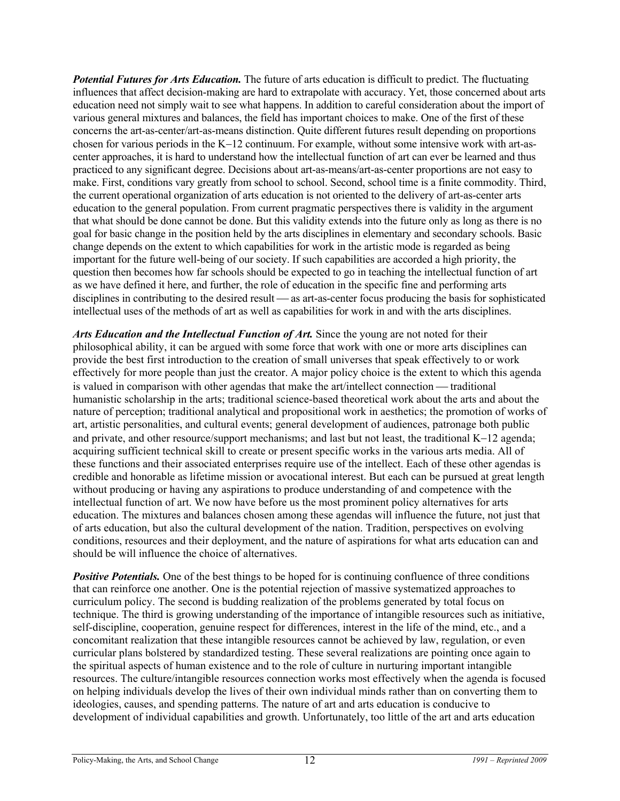*Potential Futures for Arts Education.* The future of arts education is difficult to predict. The fluctuating influences that affect decision-making are hard to extrapolate with accuracy. Yet, those concerned about arts education need not simply wait to see what happens. In addition to careful consideration about the import of various general mixtures and balances, the field has important choices to make. One of the first of these concerns the art-as-center/art-as-means distinction. Quite different futures result depending on proportions chosen for various periods in the K−12 continuum. For example, without some intensive work with art-ascenter approaches, it is hard to understand how the intellectual function of art can ever be learned and thus practiced to any significant degree. Decisions about art-as-means/art-as-center proportions are not easy to make. First, conditions vary greatly from school to school. Second, school time is a finite commodity. Third, the current operational organization of arts education is not oriented to the delivery of art-as-center arts education to the general population. From current pragmatic perspectives there is validity in the argument that what should be done cannot be done. But this validity extends into the future only as long as there is no goal for basic change in the position held by the arts disciplines in elementary and secondary schools. Basic change depends on the extent to which capabilities for work in the artistic mode is regarded as being important for the future well-being of our society. If such capabilities are accorded a high priority, the question then becomes how far schools should be expected to go in teaching the intellectual function of art as we have defined it here, and further, the role of education in the specific fine and performing arts disciplines in contributing to the desired result — as art-as-center focus producing the basis for sophisticated intellectual uses of the methods of art as well as capabilities for work in and with the arts disciplines.

Arts Education and the Intellectual Function of Art. Since the young are not noted for their philosophical ability, it can be argued with some force that work with one or more arts disciplines can provide the best first introduction to the creation of small universes that speak effectively to or work effectively for more people than just the creator. A major policy choice is the extent to which this agenda is valued in comparison with other agendas that make the art/intellect connection  $-$  traditional humanistic scholarship in the arts; traditional science-based theoretical work about the arts and about the nature of perception; traditional analytical and propositional work in aesthetics; the promotion of works of art, artistic personalities, and cultural events; general development of audiences, patronage both public and private, and other resource/support mechanisms; and last but not least, the traditional K−12 agenda; acquiring sufficient technical skill to create or present specific works in the various arts media. All of these functions and their associated enterprises require use of the intellect. Each of these other agendas is credible and honorable as lifetime mission or avocational interest. But each can be pursued at great length without producing or having any aspirations to produce understanding of and competence with the intellectual function of art. We now have before us the most prominent policy alternatives for arts education. The mixtures and balances chosen among these agendas will influence the future, not just that of arts education, but also the cultural development of the nation. Tradition, perspectives on evolving conditions, resources and their deployment, and the nature of aspirations for what arts education can and should be will influence the choice of alternatives.

*Positive Potentials.* One of the best things to be hoped for is continuing confluence of three conditions that can reinforce one another. One is the potential rejection of massive systematized approaches to curriculum policy. The second is budding realization of the problems generated by total focus on technique. The third is growing understanding of the importance of intangible resources such as initiative, self-discipline, cooperation, genuine respect for differences, interest in the life of the mind, etc., and a concomitant realization that these intangible resources cannot be achieved by law, regulation, or even curricular plans bolstered by standardized testing. These several realizations are pointing once again to the spiritual aspects of human existence and to the role of culture in nurturing important intangible resources. The culture/intangible resources connection works most effectively when the agenda is focused on helping individuals develop the lives of their own individual minds rather than on converting them to ideologies, causes, and spending patterns. The nature of art and arts education is conducive to development of individual capabilities and growth. Unfortunately, too little of the art and arts education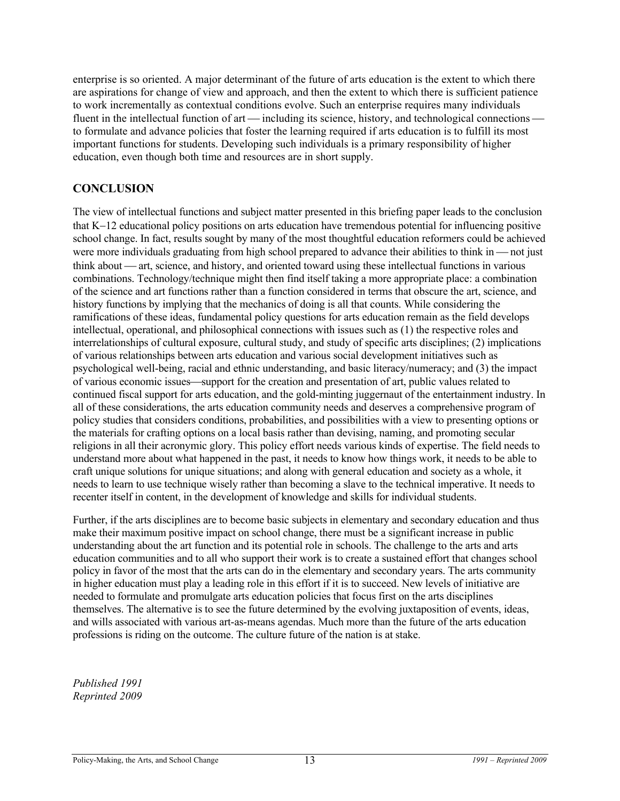enterprise is so oriented. A major determinant of the future of arts education is the extent to which there are aspirations for change of view and approach, and then the extent to which there is sufficient patience to work incrementally as contextual conditions evolve. Such an enterprise requires many individuals fluent in the intellectual function of  $art$ —including its science, history, and technological connections to formulate and advance policies that foster the learning required if arts education is to fulfill its most important functions for students. Developing such individuals is a primary responsibility of higher education, even though both time and resources are in short supply.

#### **CONCLUSION**

The view of intellectual functions and subject matter presented in this briefing paper leads to the conclusion that K−12 educational policy positions on arts education have tremendous potential for influencing positive school change. In fact, results sought by many of the most thoughtful education reformers could be achieved were more individuals graduating from high school prepared to advance their abilities to think in  $-$  not just think about — art, science, and history, and oriented toward using these intellectual functions in various combinations. Technology/technique might then find itself taking a more appropriate place: a combination of the science and art functions rather than a function considered in terms that obscure the art, science, and history functions by implying that the mechanics of doing is all that counts. While considering the ramifications of these ideas, fundamental policy questions for arts education remain as the field develops intellectual, operational, and philosophical connections with issues such as (1) the respective roles and interrelationships of cultural exposure, cultural study, and study of specific arts disciplines; (2) implications of various relationships between arts education and various social development initiatives such as psychological well-being, racial and ethnic understanding, and basic literacy/numeracy; and (3) the impact of various economic issues—support for the creation and presentation of art, public values related to continued fiscal support for arts education, and the gold-minting juggernaut of the entertainment industry. In all of these considerations, the arts education community needs and deserves a comprehensive program of policy studies that considers conditions, probabilities, and possibilities with a view to presenting options or the materials for crafting options on a local basis rather than devising, naming, and promoting secular religions in all their acronymic glory. This policy effort needs various kinds of expertise. The field needs to understand more about what happened in the past, it needs to know how things work, it needs to be able to craft unique solutions for unique situations; and along with general education and society as a whole, it needs to learn to use technique wisely rather than becoming a slave to the technical imperative. It needs to recenter itself in content, in the development of knowledge and skills for individual students.

Further, if the arts disciplines are to become basic subjects in elementary and secondary education and thus make their maximum positive impact on school change, there must be a significant increase in public understanding about the art function and its potential role in schools. The challenge to the arts and arts education communities and to all who support their work is to create a sustained effort that changes school policy in favor of the most that the arts can do in the elementary and secondary years. The arts community in higher education must play a leading role in this effort if it is to succeed. New levels of initiative are needed to formulate and promulgate arts education policies that focus first on the arts disciplines themselves. The alternative is to see the future determined by the evolving juxtaposition of events, ideas, and wills associated with various art-as-means agendas. Much more than the future of the arts education professions is riding on the outcome. The culture future of the nation is at stake.

*Published 1991 Reprinted 2009*